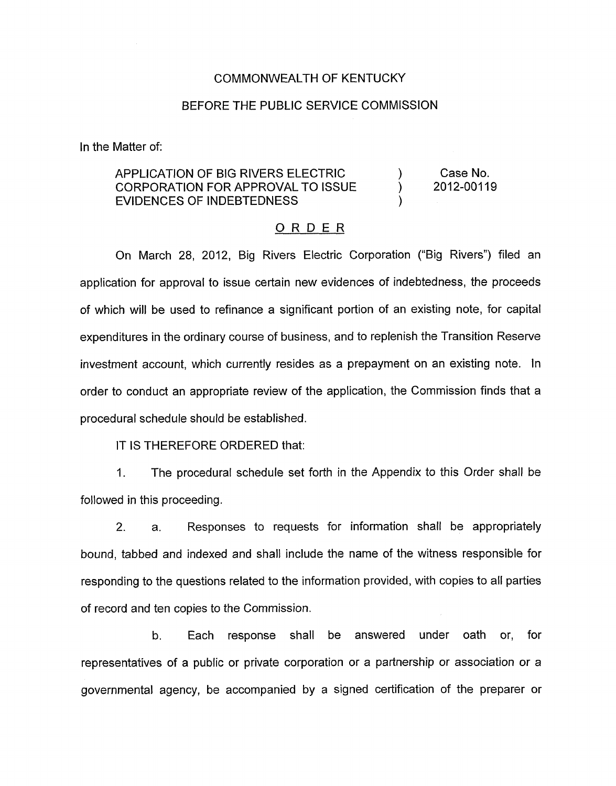#### COMMONWEALTH OF KENTUCKY

#### BEFORE THE PUBLIC SERVICE COMMISSION

In the Matter of:

### APPLICATION OF BIG RIVERS ELECTRIC CORPORATION FOR APPROVAL TO ISSUE EVIDENCES OF INDEBTEDNESS

Case No. 2012-00119

)<br>. ) )

#### ORDER

On March 28, 2012, Big Rivers Electric Corporation ("Big Rivers") filed an application for approval to issue certain new evidences of indebtedness, the proceeds of which will be used to refinance a significant portion of an existing note, for capital expenditures in the ordinary course of business, and to replenish the Transition Reserve investment account, which currently resides as a prepayment on an existing note. In order to conduct an appropriate review of the application, the Commission finds that a procedural schedule should be established.

IT **IS** THEREFORE ORDERED that:

1. The procedural schedule set forth in the Appendix to this Order shall be followed in this proceeding.

2. a. Responses to requests for information shall be appropriately bound, tabbed and indexed and shall include the name of the witness responsible for responding to the questions related to the information provided, with copies to all parties of record and ten copies to the Commission.

b. Each response shall be answered under oath or, for representatives of a public or private corporation or a partnership or association or a governmental agency, be accompanied by a signed certification of the preparer or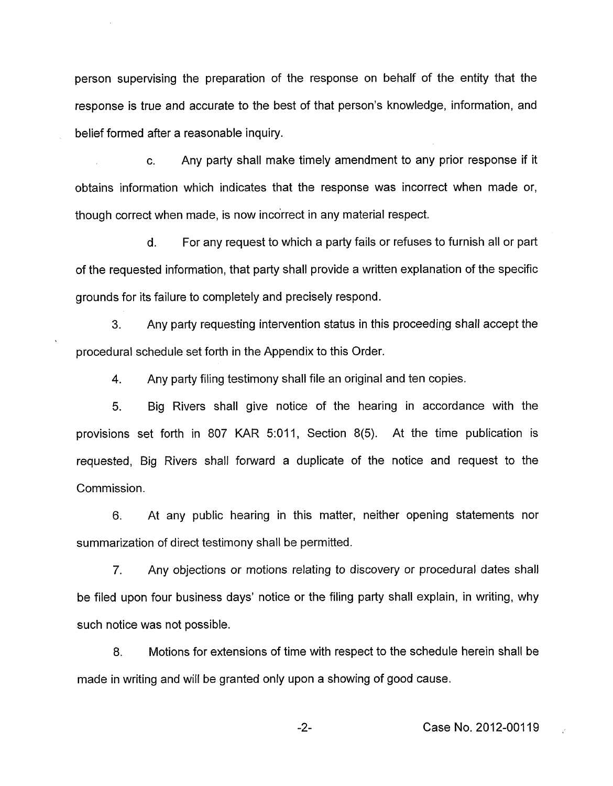person supervising the preparation of the response on behalf of the entity that the response is true and accurate to the best of that person's knowledge, information, and belief formed after a reasonable inquiry.

c. Any party shall make timely amendment to any prior response if it obtains information which indicates that the response was incorrect when made or, though correct when made, is now incorrect in any material respect.

d. For any request to which a party fails or refuses to furnish all or part of the requested information, that party shall provide a written explanation of the specific grounds for its failure to completely and precisely respond.

**3.** Any party requesting intervention status in this proceeding shall accept the procedural schedule set forth in the Appendix to this Order.

**4.**  Any party filing testimony shall file an original and ten copies.

5. Big Rivers shall give notice of the hearing in accordance with the provisions set forth in 807 KAR 5:011, Section 8(5). At the time publication is requested, Big Rivers shall forward a duplicate of the notice and request to the Commission.

6. At any public hearing in this matter, neither opening statements nor summarization of direct testimony shall be permitted.

*7.* Any objections or motions relating to discovery or procedural dates shall be filed upon four business days' notice or the filing party shall explain, in writing, why such notice was not possible.

8. Motions for extensions of time with respect to the schedule herein shall be made in writing and will be granted only upon a showing of good cause.

-2- Case No. 2012-00119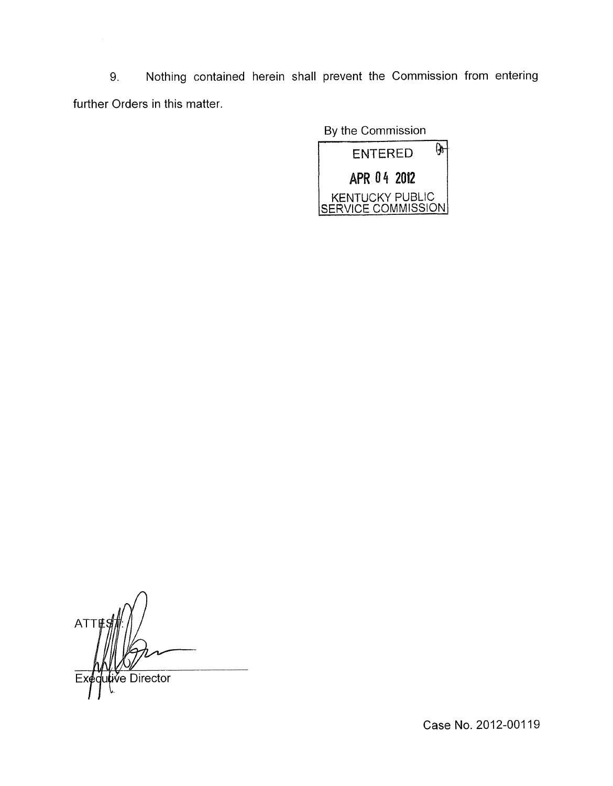9. Nothing contained herein shall prevent the Commission from entering further Orders in this matter.

By the Commission



**ATT**  $\delta$ e Director

Case No. 2012-00119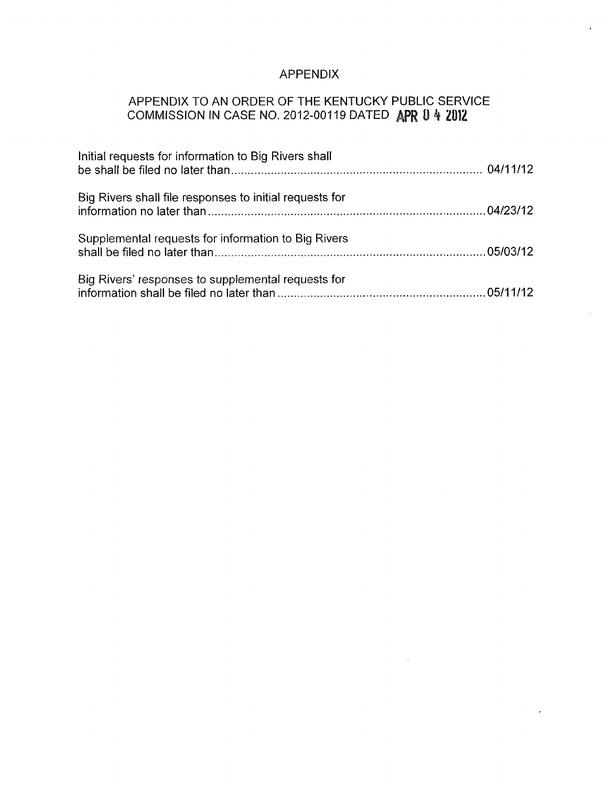# APPENDIX

## APPENDIX TO AN ORDER OF THE KENTUCKY PUBLIC SERVICE COMMISSION IN CASE NO. 2012-001 19 DATED 0 4 **2012**

| Initial requests for information to Big Rivers shall    |  |
|---------------------------------------------------------|--|
| Big Rivers shall file responses to initial requests for |  |
| Supplemental requests for information to Big Rivers     |  |
| Big Rivers' responses to supplemental requests for      |  |

 $\sim$   $\sim$